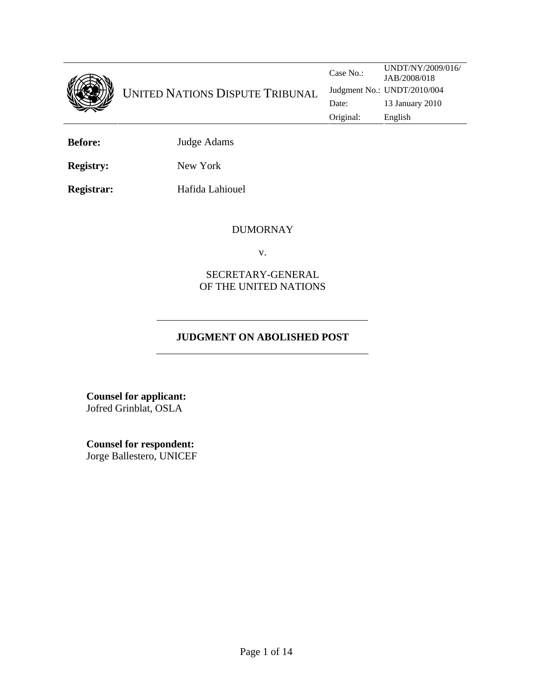

**Before:** Judge Adams

**Registry:** New York

**Registrar:** Hafida Lahiouel

# DUMORNAY

v.

# SECRETARY-GENERAL OF THE UNITED NATIONS

# **JUDGMENT ON ABOLISHED POST**

**Counsel for applicant:**  Jofred Grinblat, OSLA

**Counsel for respondent:** Jorge Ballestero, UNICEF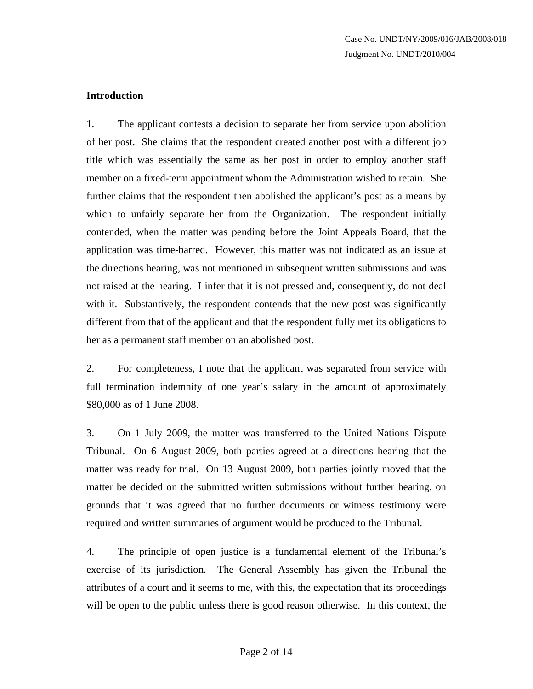# **Introduction**

1. The applicant contests a decision to separate her from service upon abolition of her post. She claims that the respondent created another post with a different job title which was essentially the same as her post in order to employ another staff member on a fixed-term appointment whom the Administration wished to retain. She further claims that the respondent then abolished the applicant's post as a means by which to unfairly separate her from the Organization. The respondent initially contended, when the matter was pending before the Joint Appeals Board, that the application was time-barred. However, this matter was not indicated as an issue at the directions hearing, was not mentioned in subsequent written submissions and was not raised at the hearing. I infer that it is not pressed and, consequently, do not deal with it. Substantively, the respondent contends that the new post was significantly different from that of the applicant and that the respondent fully met its obligations to her as a permanent staff member on an abolished post.

2. For completeness, I note that the applicant was separated from service with full termination indemnity of one year's salary in the amount of approximately \$80,000 as of 1 June 2008.

3. On 1 July 2009, the matter was transferred to the United Nations Dispute Tribunal. On 6 August 2009, both parties agreed at a directions hearing that the matter was ready for trial. On 13 August 2009, both parties jointly moved that the matter be decided on the submitted written submissions without further hearing, on grounds that it was agreed that no further documents or witness testimony were required and written summaries of argument would be produced to the Tribunal.

4. The principle of open justice is a fundamental element of the Tribunal's exercise of its jurisdiction. The General Assembly has given the Tribunal the attributes of a court and it seems to me, with this, the expectation that its proceedings will be open to the public unless there is good reason otherwise. In this context, the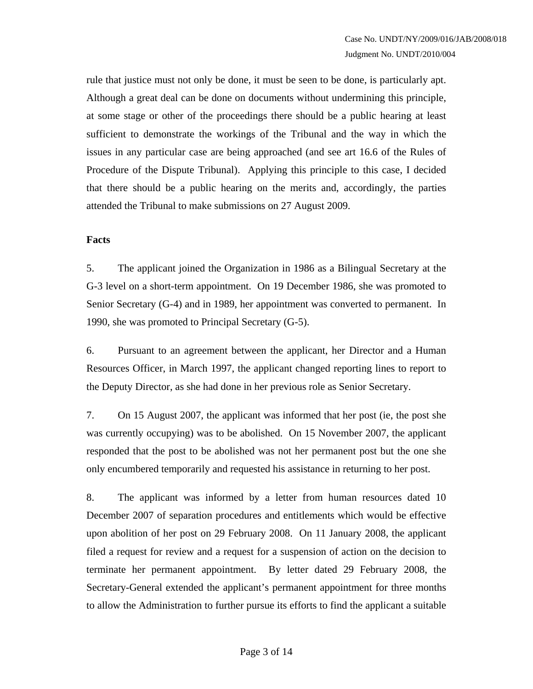rule that justice must not only be done, it must be seen to be done, is particularly apt. Although a great deal can be done on documents without undermining this principle, at some stage or other of the proceedings there should be a public hearing at least sufficient to demonstrate the workings of the Tribunal and the way in which the issues in any particular case are being approached (and see art 16.6 of the Rules of Procedure of the Dispute Tribunal). Applying this principle to this case, I decided that there should be a public hearing on the merits and, accordingly, the parties attended the Tribunal to make submissions on 27 August 2009.

# **Facts**

5. The applicant joined the Organization in 1986 as a Bilingual Secretary at the G-3 level on a short-term appointment. On 19 December 1986, she was promoted to Senior Secretary (G-4) and in 1989, her appointment was converted to permanent. In 1990, she was promoted to Principal Secretary (G-5).

6. Pursuant to an agreement between the applicant, her Director and a Human Resources Officer, in March 1997, the applicant changed reporting lines to report to the Deputy Director, as she had done in her previous role as Senior Secretary.

7. On 15 August 2007, the applicant was informed that her post (ie, the post she was currently occupying) was to be abolished. On 15 November 2007, the applicant responded that the post to be abolished was not her permanent post but the one she only encumbered temporarily and requested his assistance in returning to her post.

8. The applicant was informed by a letter from human resources dated 10 December 2007 of separation procedures and entitlements which would be effective upon abolition of her post on 29 February 2008. On 11 January 2008, the applicant filed a request for review and a request for a suspension of action on the decision to terminate her permanent appointment. By letter dated 29 February 2008, the Secretary-General extended the applicant's permanent appointment for three months to allow the Administration to further pursue its efforts to find the applicant a suitable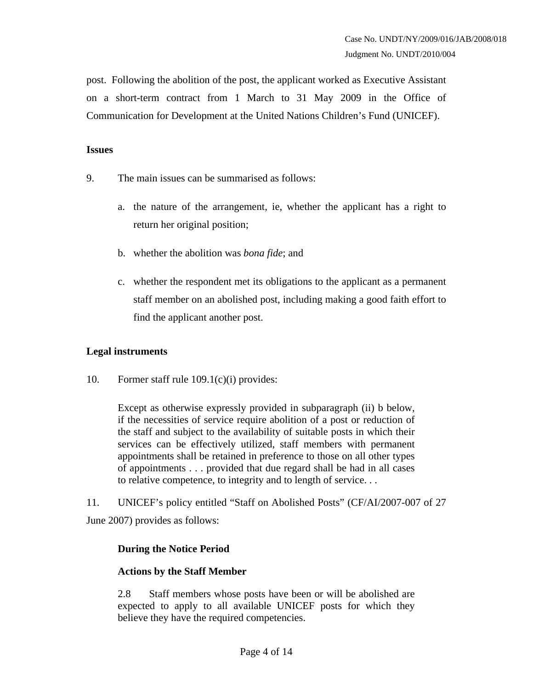post. Following the abolition of the post, the applicant worked as Executive Assistant on a short-term contract from 1 March to 31 May 2009 in the Office of Communication for Development at the United Nations Children's Fund (UNICEF).

#### **Issues**

- 9. The main issues can be summarised as follows:
	- a. the nature of the arrangement, ie, whether the applicant has a right to return her original position;
	- b. whether the abolition was *bona fide*; and
	- c. whether the respondent met its obligations to the applicant as a permanent staff member on an abolished post, including making a good faith effort to find the applicant another post.

# **Legal instruments**

10. Former staff rule 109.1(c)(i) provides:

Except as otherwise expressly provided in subparagraph (ii) b below, if the necessities of service require abolition of a post or reduction of the staff and subject to the availability of suitable posts in which their services can be effectively utilized, staff members with permanent appointments shall be retained in preference to those on all other types of appointments . . . provided that due regard shall be had in all cases to relative competence, to integrity and to length of service. . .

11. UNICEF's policy entitled "Staff on Abolished Posts" (CF/AI/2007-007 of 27 June 2007) provides as follows:

# **During the Notice Period**

# **Actions by the Staff Member**

2.8 Staff members whose posts have been or will be abolished are expected to apply to all available UNICEF posts for which they believe they have the required competencies.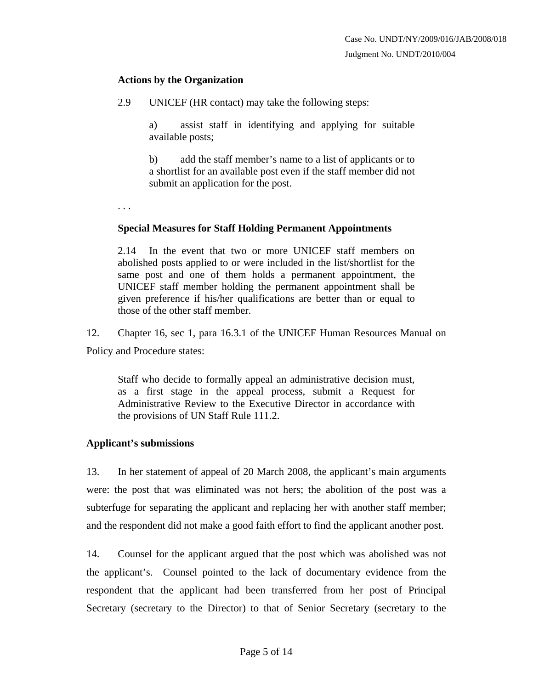#### **Actions by the Organization**

2.9 UNICEF (HR contact) may take the following steps:

a) assist staff in identifying and applying for suitable available posts;

b) add the staff member's name to a list of applicants or to a shortlist for an available post even if the staff member did not submit an application for the post.

. . .

#### **Special Measures for Staff Holding Permanent Appointments**

2.14 In the event that two or more UNICEF staff members on abolished posts applied to or were included in the list/shortlist for the same post and one of them holds a permanent appointment, the UNICEF staff member holding the permanent appointment shall be given preference if his/her qualifications are better than or equal to those of the other staff member.

12. Chapter 16, sec 1, para 16.3.1 of the UNICEF Human Resources Manual on Policy and Procedure states:

Staff who decide to formally appeal an administrative decision must, as a first stage in the appeal process, submit a Request for Administrative Review to the Executive Director in accordance with the provisions of UN Staff Rule 111.2.

# **Applicant's submissions**

13. In her statement of appeal of 20 March 2008, the applicant's main arguments were: the post that was eliminated was not hers; the abolition of the post was a subterfuge for separating the applicant and replacing her with another staff member; and the respondent did not make a good faith effort to find the applicant another post.

14. Counsel for the applicant argued that the post which was abolished was not the applicant's. Counsel pointed to the lack of documentary evidence from the respondent that the applicant had been transferred from her post of Principal Secretary (secretary to the Director) to that of Senior Secretary (secretary to the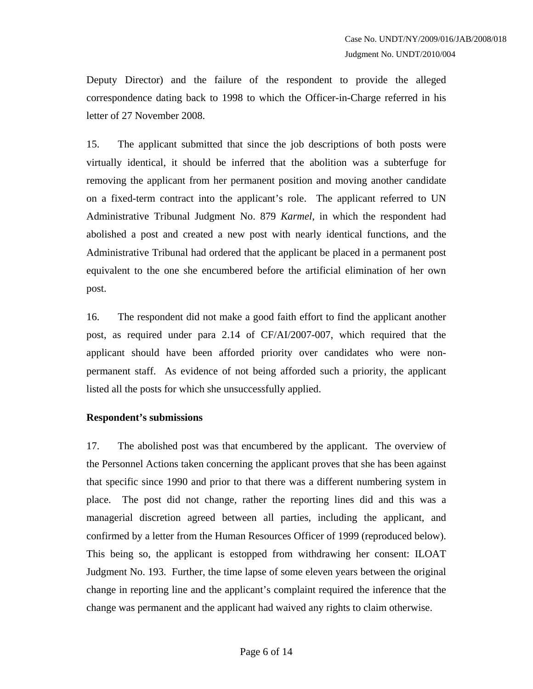Deputy Director) and the failure of the respondent to provide the alleged correspondence dating back to 1998 to which the Officer-in-Charge referred in his letter of 27 November 2008.

15. The applicant submitted that since the job descriptions of both posts were virtually identical, it should be inferred that the abolition was a subterfuge for removing the applicant from her permanent position and moving another candidate on a fixed-term contract into the applicant's role. The applicant referred to UN Administrative Tribunal Judgment No. 879 *Karmel*, in which the respondent had abolished a post and created a new post with nearly identical functions, and the Administrative Tribunal had ordered that the applicant be placed in a permanent post equivalent to the one she encumbered before the artificial elimination of her own post.

16. The respondent did not make a good faith effort to find the applicant another post, as required under para 2.14 of CF/AI/2007-007, which required that the applicant should have been afforded priority over candidates who were nonpermanent staff. As evidence of not being afforded such a priority, the applicant listed all the posts for which she unsuccessfully applied.

# **Respondent's submissions**

17. The abolished post was that encumbered by the applicant. The overview of the Personnel Actions taken concerning the applicant proves that she has been against that specific since 1990 and prior to that there was a different numbering system in place. The post did not change, rather the reporting lines did and this was a managerial discretion agreed between all parties, including the applicant, and confirmed by a letter from the Human Resources Officer of 1999 (reproduced below). This being so, the applicant is estopped from withdrawing her consent: ILOAT Judgment No. 193. Further, the time lapse of some eleven years between the original change in reporting line and the applicant's complaint required the inference that the change was permanent and the applicant had waived any rights to claim otherwise.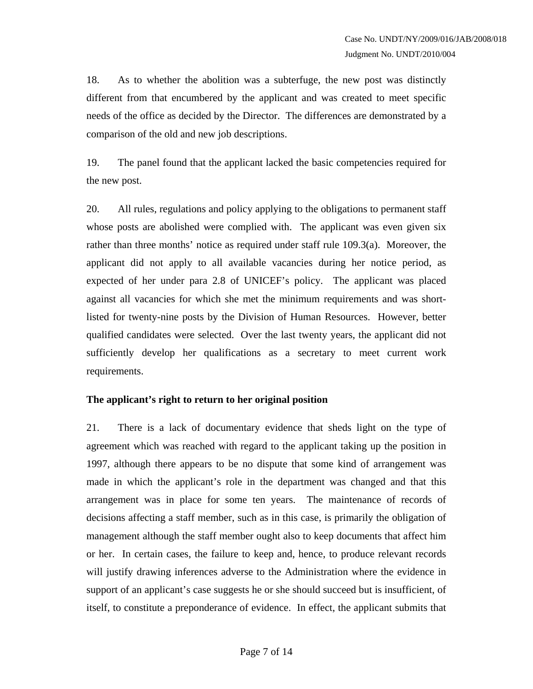18. As to whether the abolition was a subterfuge, the new post was distinctly different from that encumbered by the applicant and was created to meet specific needs of the office as decided by the Director. The differences are demonstrated by a comparison of the old and new job descriptions.

19. The panel found that the applicant lacked the basic competencies required for the new post.

20. All rules, regulations and policy applying to the obligations to permanent staff whose posts are abolished were complied with. The applicant was even given six rather than three months' notice as required under staff rule 109.3(a). Moreover, the applicant did not apply to all available vacancies during her notice period, as expected of her under para 2.8 of UNICEF's policy. The applicant was placed against all vacancies for which she met the minimum requirements and was shortlisted for twenty-nine posts by the Division of Human Resources. However, better qualified candidates were selected. Over the last twenty years, the applicant did not sufficiently develop her qualifications as a secretary to meet current work requirements.

# **The applicant's right to return to her original position**

21. There is a lack of documentary evidence that sheds light on the type of agreement which was reached with regard to the applicant taking up the position in 1997, although there appears to be no dispute that some kind of arrangement was made in which the applicant's role in the department was changed and that this arrangement was in place for some ten years. The maintenance of records of decisions affecting a staff member, such as in this case, is primarily the obligation of management although the staff member ought also to keep documents that affect him or her. In certain cases, the failure to keep and, hence, to produce relevant records will justify drawing inferences adverse to the Administration where the evidence in support of an applicant's case suggests he or she should succeed but is insufficient, of itself, to constitute a preponderance of evidence. In effect, the applicant submits that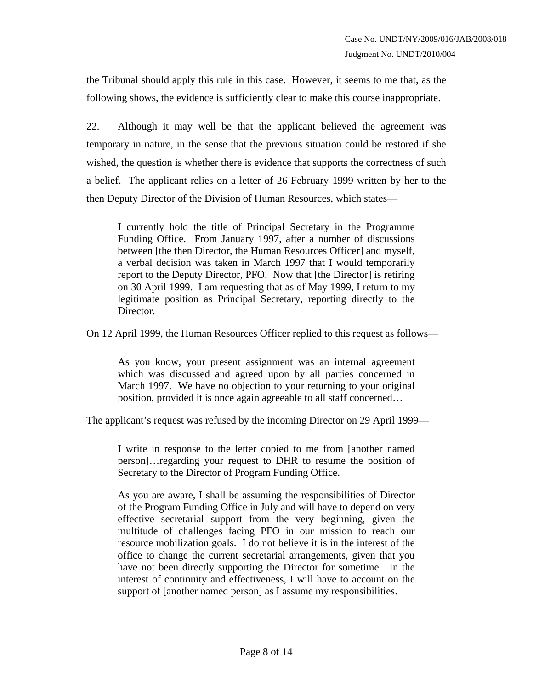the Tribunal should apply this rule in this case. However, it seems to me that, as the following shows, the evidence is sufficiently clear to make this course inappropriate.

22. Although it may well be that the applicant believed the agreement was temporary in nature, in the sense that the previous situation could be restored if she wished, the question is whether there is evidence that supports the correctness of such a belief. The applicant relies on a letter of 26 February 1999 written by her to the then Deputy Director of the Division of Human Resources, which states—

I currently hold the title of Principal Secretary in the Programme Funding Office. From January 1997, after a number of discussions between [the then Director, the Human Resources Officer] and myself, a verbal decision was taken in March 1997 that I would temporarily report to the Deputy Director, PFO. Now that [the Director] is retiring on 30 April 1999. I am requesting that as of May 1999, I return to my legitimate position as Principal Secretary, reporting directly to the Director.

On 12 April 1999, the Human Resources Officer replied to this request as follows—

As you know, your present assignment was an internal agreement which was discussed and agreed upon by all parties concerned in March 1997. We have no objection to your returning to your original position, provided it is once again agreeable to all staff concerned…

The applicant's request was refused by the incoming Director on 29 April 1999—

I write in response to the letter copied to me from [another named person]…regarding your request to DHR to resume the position of Secretary to the Director of Program Funding Office.

As you are aware, I shall be assuming the responsibilities of Director of the Program Funding Office in July and will have to depend on very effective secretarial support from the very beginning, given the multitude of challenges facing PFO in our mission to reach our resource mobilization goals. I do not believe it is in the interest of the office to change the current secretarial arrangements, given that you have not been directly supporting the Director for sometime. In the interest of continuity and effectiveness, I will have to account on the support of [another named person] as I assume my responsibilities.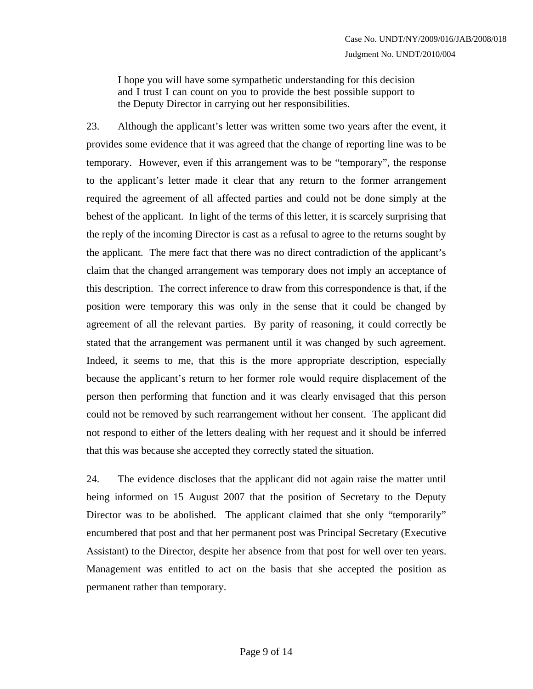I hope you will have some sympathetic understanding for this decision and I trust I can count on you to provide the best possible support to the Deputy Director in carrying out her responsibilities.

23. Although the applicant's letter was written some two years after the event, it provides some evidence that it was agreed that the change of reporting line was to be temporary. However, even if this arrangement was to be "temporary", the response to the applicant's letter made it clear that any return to the former arrangement required the agreement of all affected parties and could not be done simply at the behest of the applicant. In light of the terms of this letter, it is scarcely surprising that the reply of the incoming Director is cast as a refusal to agree to the returns sought by the applicant. The mere fact that there was no direct contradiction of the applicant's claim that the changed arrangement was temporary does not imply an acceptance of this description. The correct inference to draw from this correspondence is that, if the position were temporary this was only in the sense that it could be changed by agreement of all the relevant parties. By parity of reasoning, it could correctly be stated that the arrangement was permanent until it was changed by such agreement. Indeed, it seems to me, that this is the more appropriate description, especially because the applicant's return to her former role would require displacement of the person then performing that function and it was clearly envisaged that this person could not be removed by such rearrangement without her consent. The applicant did not respond to either of the letters dealing with her request and it should be inferred that this was because she accepted they correctly stated the situation.

24. The evidence discloses that the applicant did not again raise the matter until being informed on 15 August 2007 that the position of Secretary to the Deputy Director was to be abolished. The applicant claimed that she only "temporarily" encumbered that post and that her permanent post was Principal Secretary (Executive Assistant) to the Director, despite her absence from that post for well over ten years. Management was entitled to act on the basis that she accepted the position as permanent rather than temporary.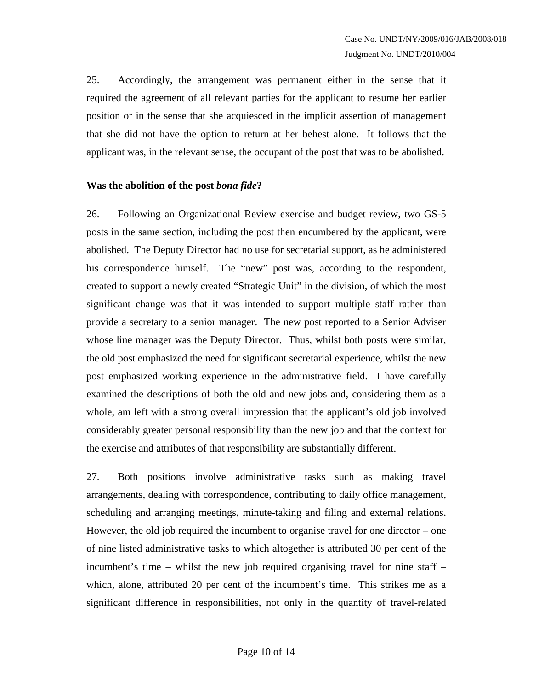25. Accordingly, the arrangement was permanent either in the sense that it required the agreement of all relevant parties for the applicant to resume her earlier position or in the sense that she acquiesced in the implicit assertion of management that she did not have the option to return at her behest alone. It follows that the applicant was, in the relevant sense, the occupant of the post that was to be abolished.

# **Was the abolition of the post** *bona fide***?**

26. Following an Organizational Review exercise and budget review, two GS-5 posts in the same section, including the post then encumbered by the applicant, were abolished. The Deputy Director had no use for secretarial support, as he administered his correspondence himself. The "new" post was, according to the respondent, created to support a newly created "Strategic Unit" in the division, of which the most significant change was that it was intended to support multiple staff rather than provide a secretary to a senior manager. The new post reported to a Senior Adviser whose line manager was the Deputy Director. Thus, whilst both posts were similar, the old post emphasized the need for significant secretarial experience, whilst the new post emphasized working experience in the administrative field. I have carefully examined the descriptions of both the old and new jobs and, considering them as a whole, am left with a strong overall impression that the applicant's old job involved considerably greater personal responsibility than the new job and that the context for the exercise and attributes of that responsibility are substantially different.

27. Both positions involve administrative tasks such as making travel arrangements, dealing with correspondence, contributing to daily office management, scheduling and arranging meetings, minute-taking and filing and external relations. However, the old job required the incumbent to organise travel for one director – one of nine listed administrative tasks to which altogether is attributed 30 per cent of the incumbent's time – whilst the new job required organising travel for nine staff – which, alone, attributed 20 per cent of the incumbent's time. This strikes me as a significant difference in responsibilities, not only in the quantity of travel-related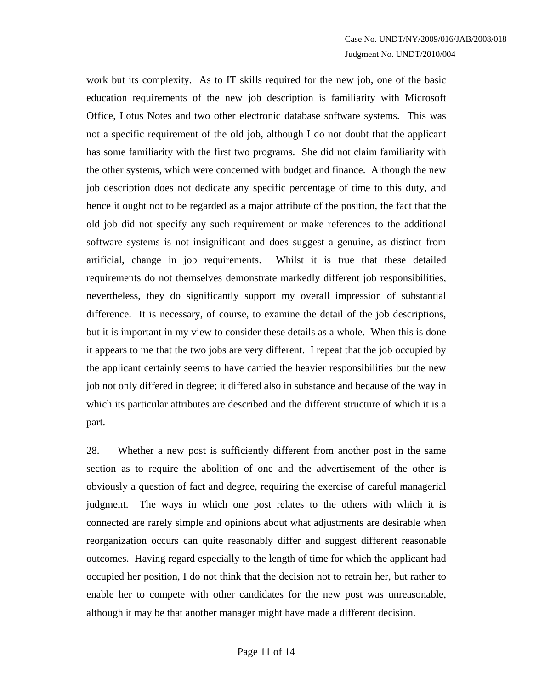work but its complexity. As to IT skills required for the new job, one of the basic education requirements of the new job description is familiarity with Microsoft Office, Lotus Notes and two other electronic database software systems. This was not a specific requirement of the old job, although I do not doubt that the applicant has some familiarity with the first two programs. She did not claim familiarity with the other systems, which were concerned with budget and finance. Although the new job description does not dedicate any specific percentage of time to this duty, and hence it ought not to be regarded as a major attribute of the position, the fact that the old job did not specify any such requirement or make references to the additional software systems is not insignificant and does suggest a genuine, as distinct from artificial, change in job requirements. Whilst it is true that these detailed requirements do not themselves demonstrate markedly different job responsibilities, nevertheless, they do significantly support my overall impression of substantial difference. It is necessary, of course, to examine the detail of the job descriptions, but it is important in my view to consider these details as a whole. When this is done it appears to me that the two jobs are very different. I repeat that the job occupied by the applicant certainly seems to have carried the heavier responsibilities but the new job not only differed in degree; it differed also in substance and because of the way in which its particular attributes are described and the different structure of which it is a part.

28. Whether a new post is sufficiently different from another post in the same section as to require the abolition of one and the advertisement of the other is obviously a question of fact and degree, requiring the exercise of careful managerial judgment. The ways in which one post relates to the others with which it is connected are rarely simple and opinions about what adjustments are desirable when reorganization occurs can quite reasonably differ and suggest different reasonable outcomes. Having regard especially to the length of time for which the applicant had occupied her position, I do not think that the decision not to retrain her, but rather to enable her to compete with other candidates for the new post was unreasonable, although it may be that another manager might have made a different decision.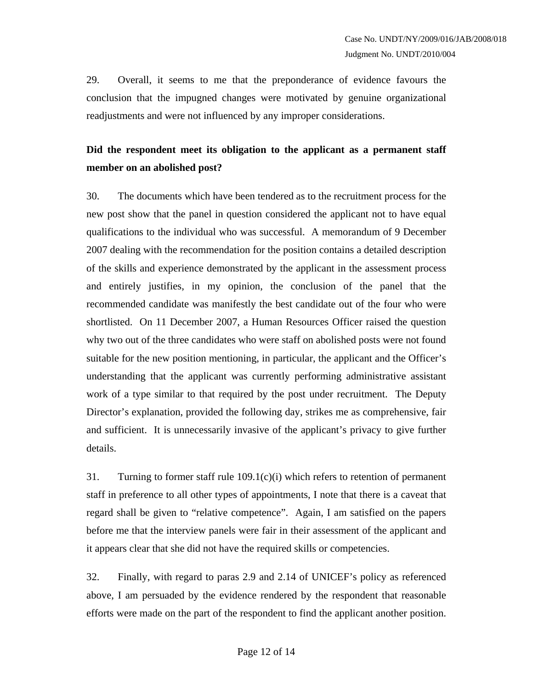29. Overall, it seems to me that the preponderance of evidence favours the conclusion that the impugned changes were motivated by genuine organizational readjustments and were not influenced by any improper considerations.

# **Did the respondent meet its obligation to the applicant as a permanent staff member on an abolished post?**

30. The documents which have been tendered as to the recruitment process for the new post show that the panel in question considered the applicant not to have equal qualifications to the individual who was successful. A memorandum of 9 December 2007 dealing with the recommendation for the position contains a detailed description of the skills and experience demonstrated by the applicant in the assessment process and entirely justifies, in my opinion, the conclusion of the panel that the recommended candidate was manifestly the best candidate out of the four who were shortlisted. On 11 December 2007, a Human Resources Officer raised the question why two out of the three candidates who were staff on abolished posts were not found suitable for the new position mentioning, in particular, the applicant and the Officer's understanding that the applicant was currently performing administrative assistant work of a type similar to that required by the post under recruitment. The Deputy Director's explanation, provided the following day, strikes me as comprehensive, fair and sufficient. It is unnecessarily invasive of the applicant's privacy to give further details.

31. Turning to former staff rule 109.1(c)(i) which refers to retention of permanent staff in preference to all other types of appointments, I note that there is a caveat that regard shall be given to "relative competence". Again, I am satisfied on the papers before me that the interview panels were fair in their assessment of the applicant and it appears clear that she did not have the required skills or competencies.

32. Finally, with regard to paras 2.9 and 2.14 of UNICEF's policy as referenced above, I am persuaded by the evidence rendered by the respondent that reasonable efforts were made on the part of the respondent to find the applicant another position.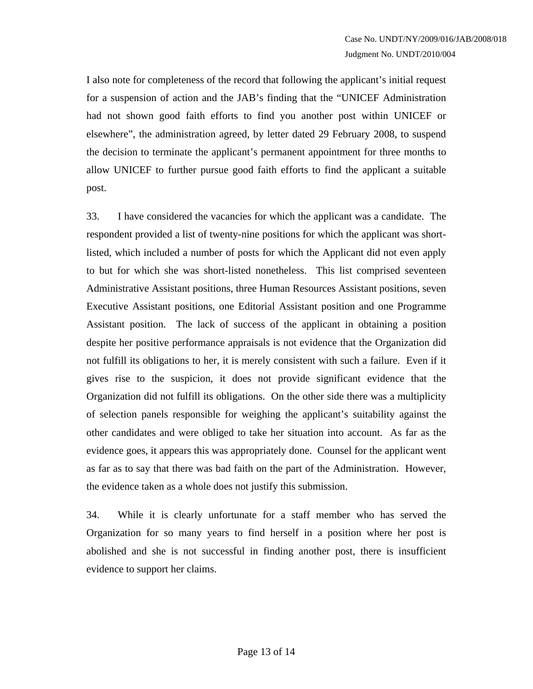I also note for completeness of the record that following the applicant's initial request for a suspension of action and the JAB's finding that the "UNICEF Administration had not shown good faith efforts to find you another post within UNICEF or elsewhere", the administration agreed, by letter dated 29 February 2008, to suspend the decision to terminate the applicant's permanent appointment for three months to allow UNICEF to further pursue good faith efforts to find the applicant a suitable post.

33. I have considered the vacancies for which the applicant was a candidate. The respondent provided a list of twenty-nine positions for which the applicant was shortlisted, which included a number of posts for which the Applicant did not even apply to but for which she was short-listed nonetheless. This list comprised seventeen Administrative Assistant positions, three Human Resources Assistant positions, seven Executive Assistant positions, one Editorial Assistant position and one Programme Assistant position. The lack of success of the applicant in obtaining a position despite her positive performance appraisals is not evidence that the Organization did not fulfill its obligations to her, it is merely consistent with such a failure. Even if it gives rise to the suspicion, it does not provide significant evidence that the Organization did not fulfill its obligations. On the other side there was a multiplicity of selection panels responsible for weighing the applicant's suitability against the other candidates and were obliged to take her situation into account. As far as the evidence goes, it appears this was appropriately done. Counsel for the applicant went as far as to say that there was bad faith on the part of the Administration. However, the evidence taken as a whole does not justify this submission.

34. While it is clearly unfortunate for a staff member who has served the Organization for so many years to find herself in a position where her post is abolished and she is not successful in finding another post, there is insufficient evidence to support her claims.